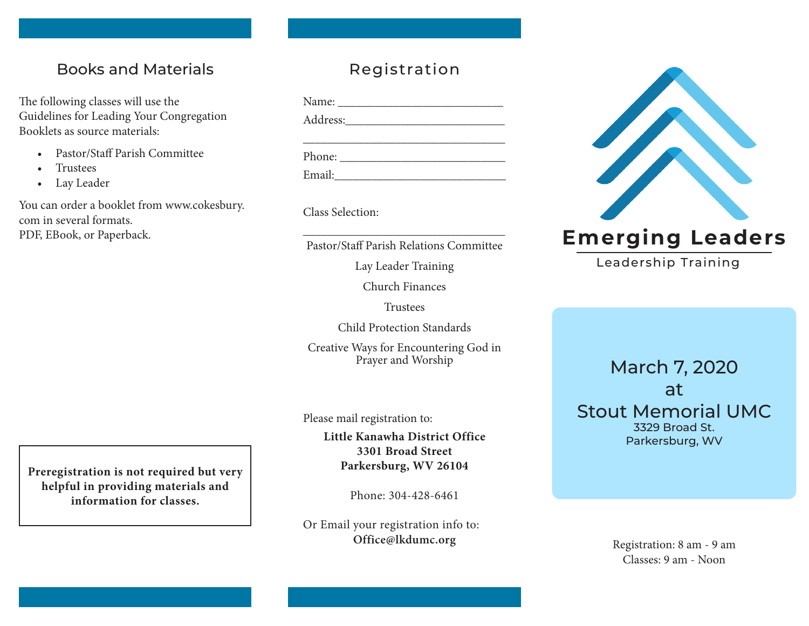## Books and Materials

The following classes will use the Guidelines for Leading Your Congregation Booklets as source materials:

- Pastor/Staff Parish Committee
- Trustees
- Lay Leader

You can order a booklet from www.cokesbury. com in several formats. PDF, EBook, or Paperback.

# Registration

| Phone: $\frac{1}{\sqrt{1-\frac{1}{2}}\sqrt{1-\frac{1}{2}}\sqrt{1-\frac{1}{2}}\sqrt{1-\frac{1}{2}}\sqrt{1-\frac{1}{2}}\sqrt{1-\frac{1}{2}}\sqrt{1-\frac{1}{2}}\sqrt{1-\frac{1}{2}}\sqrt{1-\frac{1}{2}}\sqrt{1-\frac{1}{2}}\sqrt{1-\frac{1}{2}}\sqrt{1-\frac{1}{2}}\sqrt{1-\frac{1}{2}}\sqrt{1-\frac{1}{2}}\sqrt{1-\frac{1}{2}}\sqrt{1-\frac{1}{2}}\sqrt{1-\frac{1}{2}}\sqrt{1-\frac{1}{2}}\sqrt{1-\frac{1}{2$ |  |  |
|--------------------------------------------------------------------------------------------------------------------------------------------------------------------------------------------------------------------------------------------------------------------------------------------------------------------------------------------------------------------------------------------------------------|--|--|
| Email:                                                                                                                                                                                                                                                                                                                                                                                                       |  |  |

Class Selection:

 $\_$ Pastor/Staff Parish Relations Committee

Lay Leader Training

Church Finances

Trustees

Child Protection Standards

Creative Ways for Encountering God in Prayer and Worship

Please mail registration to:

**Little Kanawha District Office 3301 Broad Street Parkersburg, WV 26104**

Phone: 304-428-6461

Or Email your registration info to: **Office@lkdumc.org**



# **Emerging Leaders**

Leadership Training

## March 7, 2020 at Stout Memorial UMC 3329 Broad St. Parkersburg, WV

Registration: 8 am - 9 am Classes: 9 am - Noon

**Preregistration is not required but very helpful in providing materials and information for classes.**